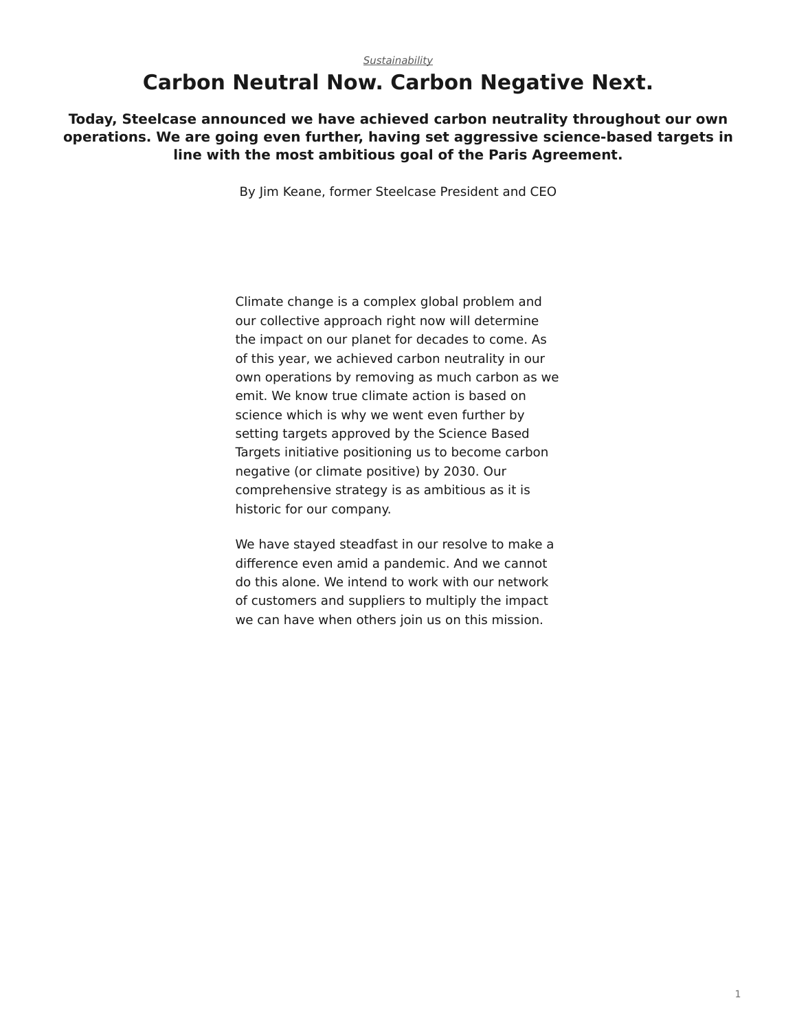## **Carbon Neutral Now. Carbon Negative Next.**

**Today, Steelcase announced we have achieved carbon neutrality throughout our own operations. We are going even further, having set aggressive science-based targets in line with the most ambitious goal of the Paris Agreement.**

By Jim Keane, former Steelcase President and CEO

Climate change is a complex global problem and our collective approach right now will determine the impact on our planet for decades to come. As of this year, we achieved carbon neutrality in our own operations by removing as much carbon as we emit. We know true climate action is based on science which is why we went even further by setting targets approved by the Science Based Targets initiative positioning us to become carbon negative (or climate positive) by 2030. Our comprehensive strategy is as ambitious as it is historic for our company.

We have stayed steadfast in our resolve to make a difference even amid a pandemic. And we cannot do this alone. We intend to work with our network of customers and suppliers to multiply the impact we can have when others join us on this mission.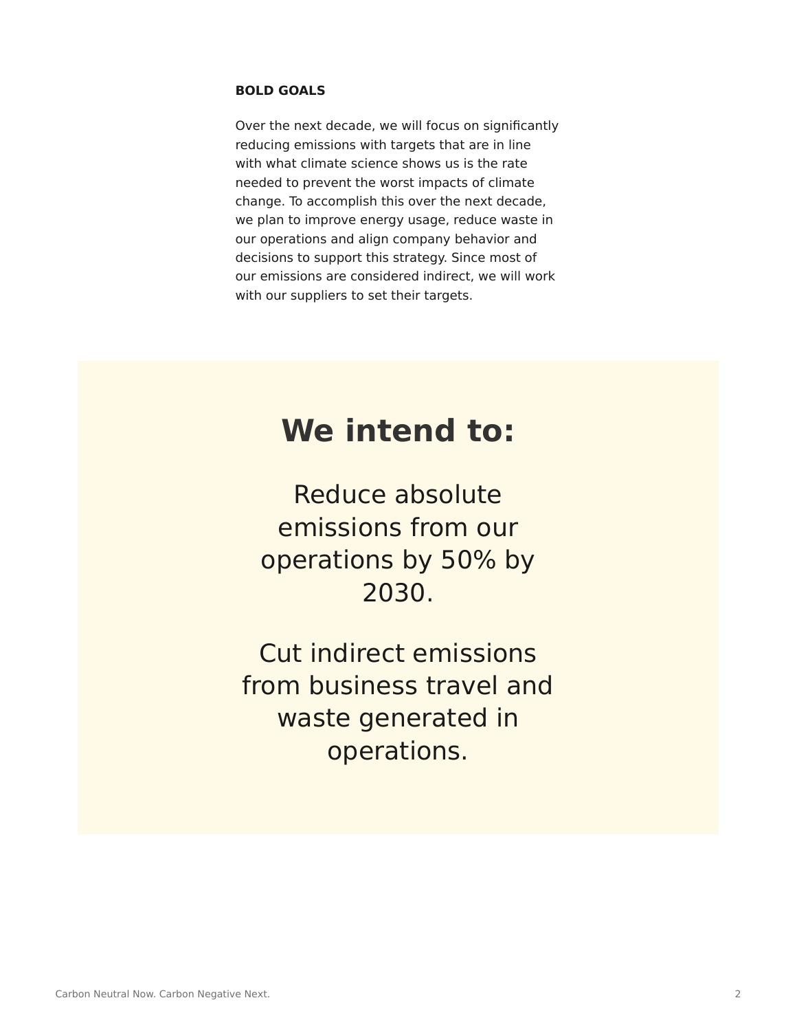### **BOLD GOALS**

Over the next decade, we will focus on significantly reducing emissions with targets that are in line with what climate science shows us is the rate needed to prevent the worst impacts of climate change. To accomplish this over the next decade, we plan to improve energy usage, reduce waste in our operations and align company behavior and decisions to support this strategy. Since most of our emissions are considered indirect, we will work with our suppliers to set their targets.

## **We intend to:**

Reduce absolute emissions from our operations by 50% by 2030.

Cut indirect emissions from business travel and waste generated in operations.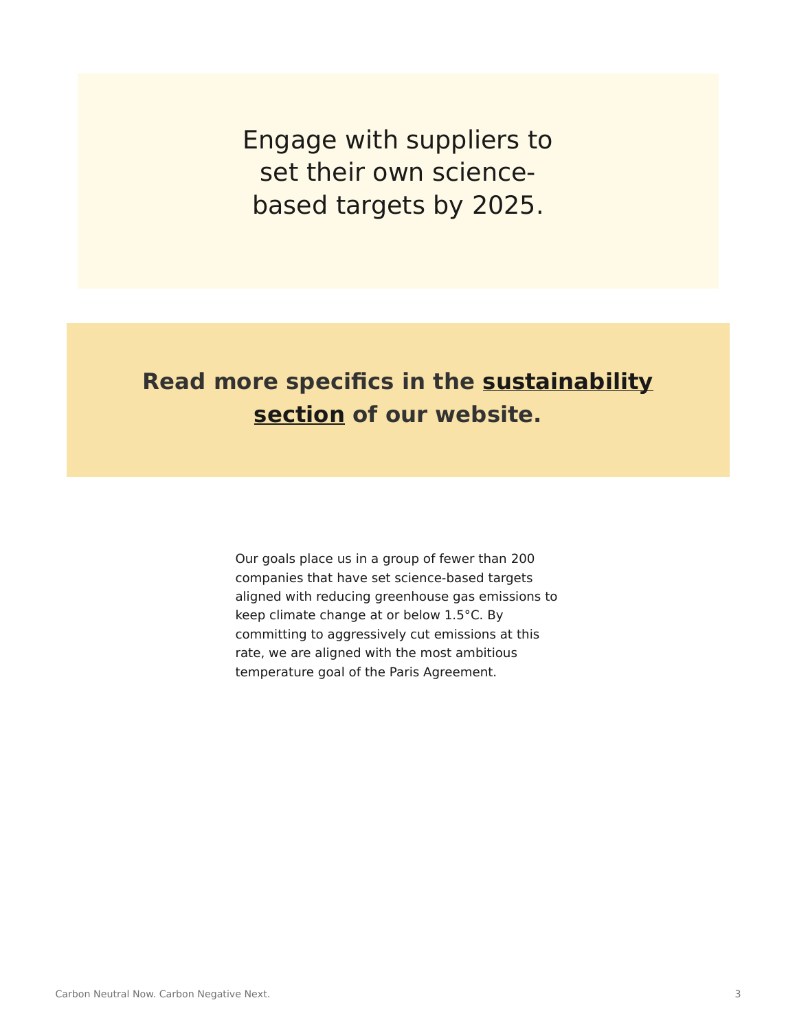Engage with suppliers to set their own sciencebased targets by 2025.

## **Read more specifics in the [sustainability](https://www.steelcase.com/eu-en/discover/steelcase/sustainability/) [section](https://www.steelcase.com/eu-en/discover/steelcase/sustainability/) of our website.**

Our goals place us in a group of fewer than 200 companies that have set science-based targets aligned with reducing greenhouse gas emissions to keep climate change at or below 1.5°C. By committing to aggressively cut emissions at this rate, we are aligned with the most ambitious temperature goal of the Paris Agreement.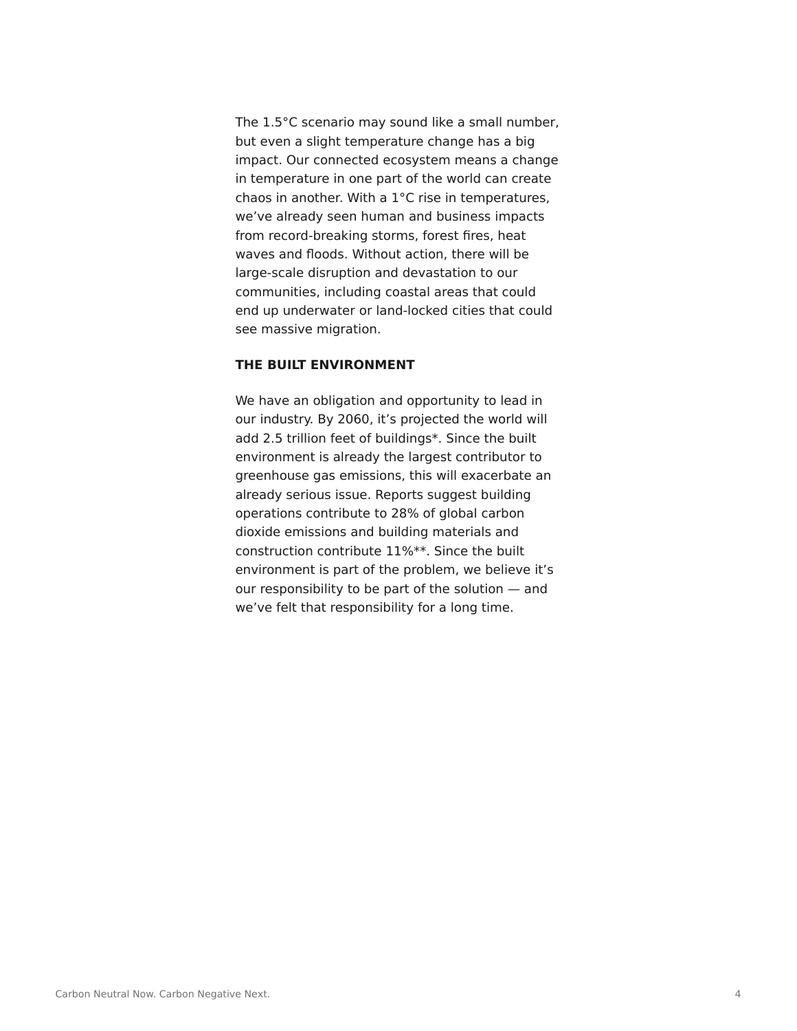The 1.5°C scenario may sound like a small number, but even a slight temperature change has a big impact. Our connected ecosystem means a change in temperature in one part of the world can create chaos in another. With a 1°C rise in temperatures, we've already seen human and business impacts from record-breaking storms, forest fires, heat waves and floods. Without action, there will be large-scale disruption and devastation to our communities, including coastal areas that could end up underwater or land-locked cities that could see massive migration.

#### **THE BUILT ENVIRONMENT**

We have an obligation and opportunity to lead in our industry. By 2060, it's projected the world will add 2.5 trillion feet of buildings\*. Since the built environment is already the largest contributor to greenhouse gas emissions, this will exacerbate an already serious issue. Reports suggest building operations contribute to 28% of global carbon dioxide emissions and building materials and construction contribute 11%\*\*. Since the built environment is part of the problem, we believe it's our responsibility to be part of the solution — and we've felt that responsibility for a long time.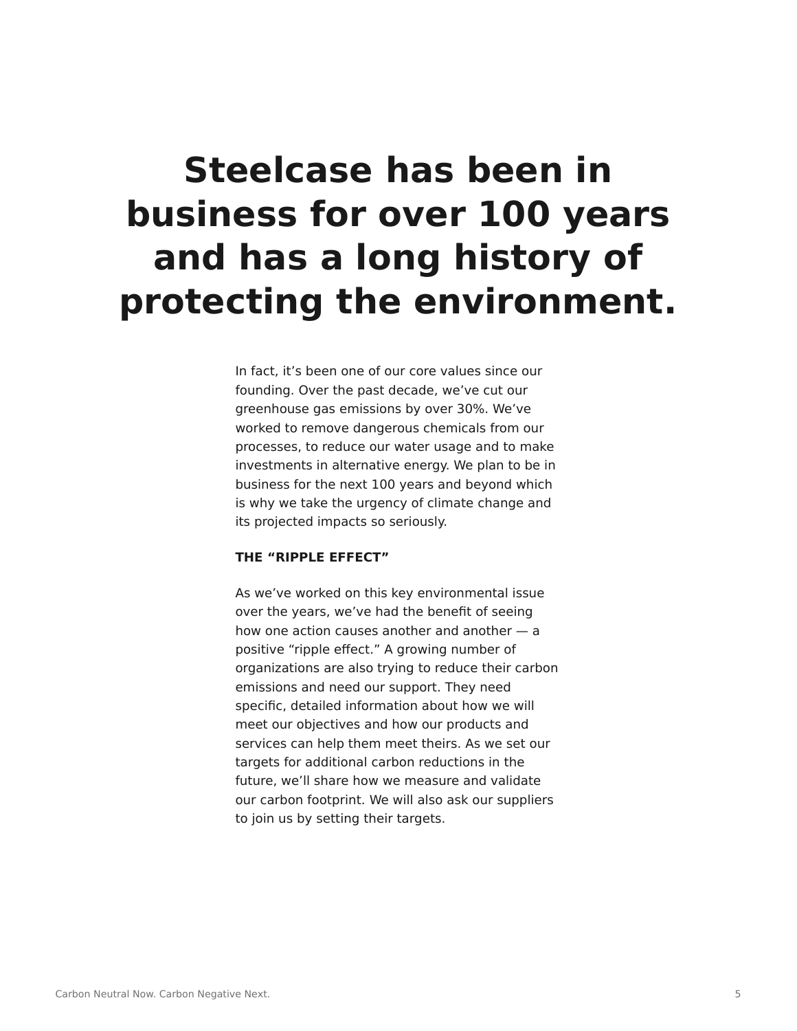# **Steelcase has been in business for over 100 years and has a long history of protecting the environment.**

In fact, it's been one of our core values since our founding. Over the past decade, we've cut our greenhouse gas emissions by over 30%. We've worked to remove dangerous chemicals from our processes, to reduce our water usage and to make investments in alternative energy. We plan to be in business for the next 100 years and beyond which is why we take the urgency of climate change and its projected impacts so seriously.

### **THE "RIPPLE EFFECT"**

As we've worked on this key environmental issue over the years, we've had the benefit of seeing how one action causes another and another  $-$  a positive "ripple effect." A growing number of organizations are also trying to reduce their carbon emissions and need our support. They need specific, detailed information about how we will meet our objectives and how our products and services can help them meet theirs. As we set our targets for additional carbon reductions in the future, we'll share how we measure and validate our carbon footprint. We will also ask our suppliers to join us by setting their targets.